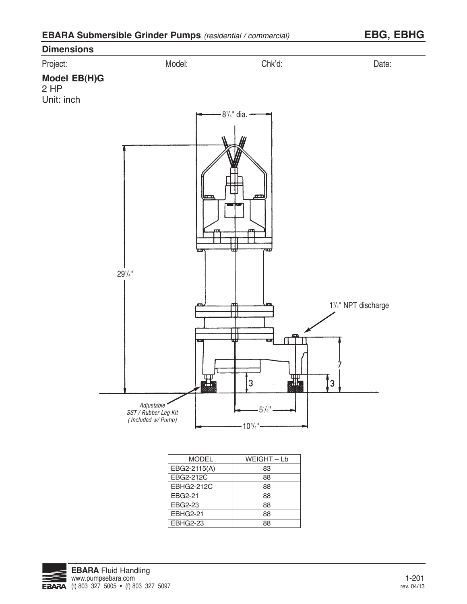| <b>EBARA Submersible Grinder Pumps</b> (residential / commercial) |  |  |  |
|-------------------------------------------------------------------|--|--|--|
|-------------------------------------------------------------------|--|--|--|





EBHG2-21 EBHG2-23 88 88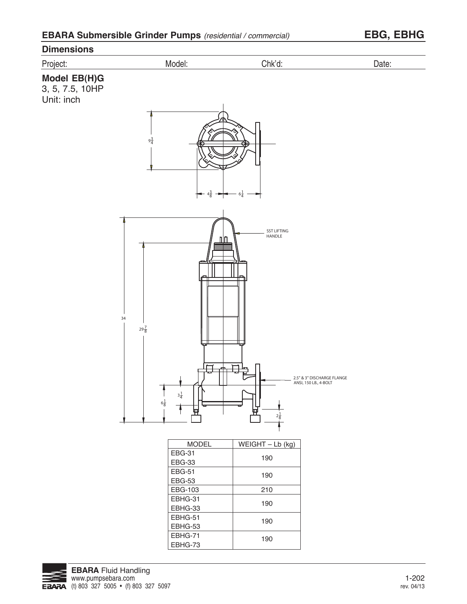# **Dimensions** Project: Model: Chk'd: Date: **Model EB(H)G** 3, 5, 7.5, 10HP Unit: inch  $9\frac{3}{4}$  $4\frac{3}{8}$  $6\frac{1}{4}$ 8 4 SST LIFTING HANDLE nn 34  $29\frac{7}{8}$ Ë 2.5" & 3" DISCHARGE FLANGE ANSI, 150 LB., 4-BOLT  $3\frac{1}{4}$  $6\frac{1}{8}$ 묘  $2\frac{1}{8}$ MODEL  $WEIGHT - Lb$  (kg) EBG-31 190 EBG-33 EBG-51 190 EBG-53 EBG-103 210 EBHG-31 190 EBHG-33 EBHG-51 190 EBHG-53 EBHG-71 190EBHG-73

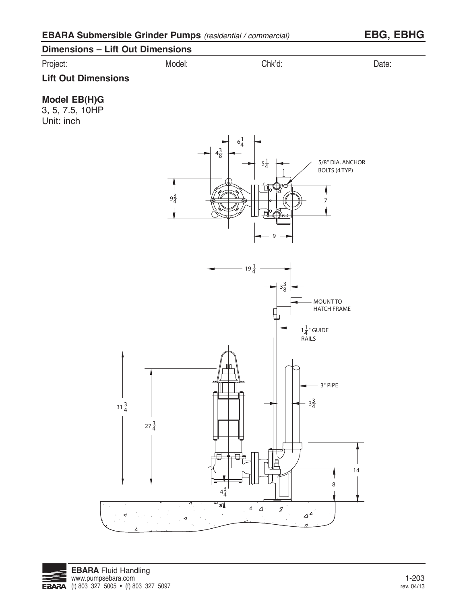# **Dimensions – Lift Out Dimensions**

Project: Model: Chk'd: Date:

## **Lift Out Dimensions**

## **Model EB(H)G**

3, 5, 7.5, 10HP Unit: inch

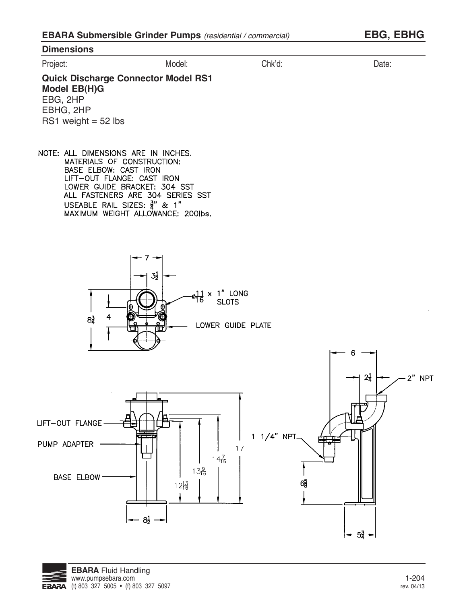| <b>Dimensions</b> |        |                      |       |
|-------------------|--------|----------------------|-------|
| Project:          | Model: | $\bigcap K$ 'd:<br>u | σαισ. |
|                   |        |                      |       |

**Quick Discharge Connector Model RS1 Model EB(H)G** EBG, 2HP EBHG, 2HP RS1 weight  $= 52$  lbs

NOTE: ALL DIMENSIONS ARE IN INCHES. MATERIALS OF CONSTRUCTION: BASE ELBOW: CAST IRON LIFT-OUT FLANGE: CAST IRON LOWER GUIDE BRACKET: 304 SST ALL FASTENERS ARE 304 SERIES SST USEABLE RAIL SIZES:  $\frac{3}{4}$ " & 1"<br>MAXIMUM WEIGHT ALLOWANCE: 2001bs.





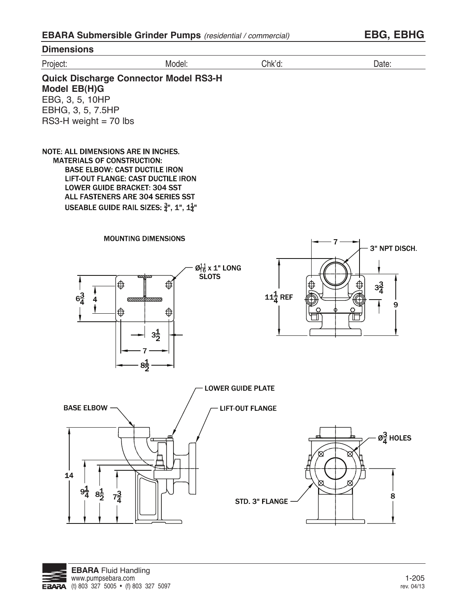**Dimensions** Project: Model: Chk'd: Date: **Quick Discharge Connector Model RS3-H Model EB(H)G** EBG, 3, 5, 10HP EBHG, 3, 5, 7.5HP  $RS3-H$  weight = 70 lbs NOTE: ALL DIMENSIONS ARE IN INCHES. **MATERIALS OF CONSTRUCTION: BASE ELBOW: CAST DUCTILE IRON** LIFT-OUT FLANGE: CAST DUCTILE IRON **LOWER GUIDE BRACKET: 304 SST** ALL FASTENERS ARE 304 SERIES SST USEABLE GUIDE RAIL SIZES:  $\frac{3}{4}$ ", 1", 1 $\frac{1}{4}$ " **MOUNTING DIMENSIONS** 7 3" NPT DISCH. Ø11 x 1" LONG<br>SLOTS ⊕  $3\frac{3}{4}$ ⊕  $11\frac{1}{4}$  REF  $6\frac{3}{4}$ 4 प्राप्ता m 9 ⊕ ⊕  $3\frac{1}{2}$  $8\frac{1}{2}$ **LOWER GUIDE PLATE BASE ELBOW -LIFT-OUT FLANGE**  $\varnothing_{\overline{A}}^{\underline{3}}$  HOLES 14  $9\frac{1}{4}$  $8\frac{1}{2}$  $7\frac{3}{4}$ 8 **STD. 3" FLANGE**